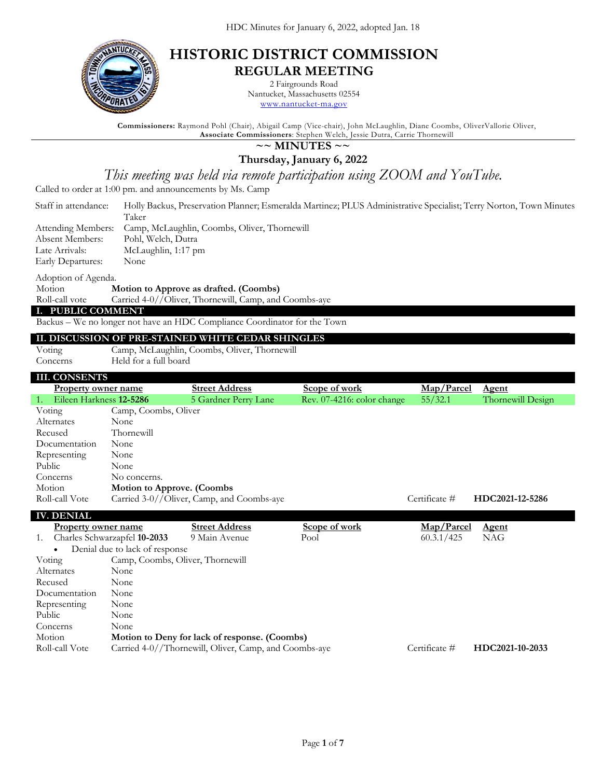

## **HISTORIC DISTRICT COMMISSION REGULAR MEETING**

2 Fairgrounds Road Nantucket, Massachusetts 02554 [www.nantucket-ma.gov](http://www.nantucket-ma.gov/)

**Commissioners:** Raymond Pohl (Chair), Abigail Camp (Vice-chair), John McLaughlin, Diane Coombs, OliverVallorie Oliver, **Associate Commissioners**: Stephen Welch, Jessie Dutra, Carrie Thornewill

### **~~ MINUTES ~~**

**Thursday, January 6, 2022**

*This meeting was held via remote participation using ZOOM and YouTube.*

Called to order at 1:00 pm. and announcements by Ms. Camp

| Staff in attendance: | Holly Backus, Preservation Planner; Esmeralda Martinez; PLUS Administrative Specialist; Terry Norton, Town Minutes |
|----------------------|--------------------------------------------------------------------------------------------------------------------|
|                      | Taker                                                                                                              |
| Attending Members:   | Camp, McLaughlin, Coombs, Oliver, Thornewill                                                                       |
| Absent Members:      | Pohl, Welch, Dutra                                                                                                 |
| Late Arrivals:       | McLaughlin, 1:17 pm                                                                                                |
| Early Departures:    | None                                                                                                               |

Adoption of Agenda.

Motion **Motion to Approve as drafted. (Coombs)**<br>Roll-call vote Carried 4-0//Oliver, Thornewill, Camp, and Carried 4-0//Oliver, Thornewill, Camp, and Coombs-aye

#### **I. PUBLIC COMMENT**

Backus – We no longer not have an HDC Compliance Coordinator for the Town

#### **II. DISCUSSION OF PRE-STAINED WHITE CEDAR SHINGLES**

#### Voting Camp, McLaughlin, Coombs, Oliver, Thornewill

Concerns Held for a full board

| <b>III. CONSENTS</b>          |                                   |                                           |                            |               |                   |
|-------------------------------|-----------------------------------|-------------------------------------------|----------------------------|---------------|-------------------|
| <b>Property owner name</b>    |                                   | <b>Street Address</b>                     | Scope of work              | Map/Parcel    | <u>Agent</u>      |
| Eileen Harkness 12-5286<br>1. |                                   | 5 Gardner Perry Lane                      | Rev. 07-4216: color change | 55/32.1       | Thornewill Design |
| Voting                        | Camp, Coombs, Oliver              |                                           |                            |               |                   |
| Alternates                    | None                              |                                           |                            |               |                   |
| Recused                       | Thornewill                        |                                           |                            |               |                   |
| Documentation                 | None                              |                                           |                            |               |                   |
| Representing                  | None                              |                                           |                            |               |                   |
| Public                        | None                              |                                           |                            |               |                   |
| Concerns                      | No concerns.                      |                                           |                            |               |                   |
| Motion                        | <b>Motion to Approve. (Coombs</b> |                                           |                            |               |                   |
| Roll-call Vote                |                                   | Carried 3-0//Oliver, Camp, and Coombs-aye |                            | Certificate # | HDC2021-12-5286   |
| <b>IV. DENIAL</b>             |                                   |                                           |                            |               |                   |

| Property owner name |                                  | <b>Street Address</b>                                 | Scope of work | Map/Parcel    | <b>Agent</b>    |  |
|---------------------|----------------------------------|-------------------------------------------------------|---------------|---------------|-----------------|--|
| 1.                  | Charles Schwarzapfel 10-2033     | 9 Main Avenue                                         | Pool          | 60.3.1/425    | NAG             |  |
|                     | Denial due to lack of response   |                                                       |               |               |                 |  |
| Voting              | Camp, Coombs, Oliver, Thornewill |                                                       |               |               |                 |  |
| Alternates          | None                             |                                                       |               |               |                 |  |
| Recused             | None                             |                                                       |               |               |                 |  |
| Documentation       | None                             |                                                       |               |               |                 |  |
| Representing        | None                             |                                                       |               |               |                 |  |
| Public              | None                             |                                                       |               |               |                 |  |
| Concerns            | <b>None</b>                      |                                                       |               |               |                 |  |
| Motion              |                                  | Motion to Deny for lack of response. (Coombs)         |               |               |                 |  |
| Roll-call Vote      |                                  | Carried 4-0//Thornewill, Oliver, Camp, and Coombs-aye |               | Certificate # | HDC2021-10-2033 |  |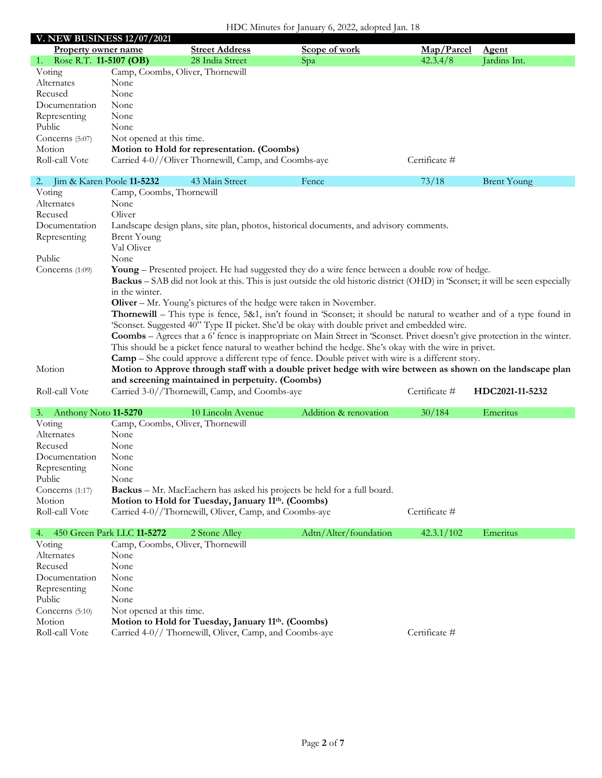| HDC Minutes for January 6, 2022, adopted Jan. 18 |                                   |                                                                    |                                                                                                                                        |               |                    |  |
|--------------------------------------------------|-----------------------------------|--------------------------------------------------------------------|----------------------------------------------------------------------------------------------------------------------------------------|---------------|--------------------|--|
|                                                  | <b>V. NEW BUSINESS 12/07/2021</b> |                                                                    |                                                                                                                                        |               |                    |  |
| <b>Property owner name</b>                       |                                   | <b>Street Address</b>                                              | Scope of work                                                                                                                          | Map/Parcel    | Agent              |  |
| Rose R.T. 11-5107 (OB)<br>1.                     |                                   | 28 India Street                                                    | Spa                                                                                                                                    | 42.3.4/8      | Jardins Int.       |  |
| Voting                                           |                                   | Camp, Coombs, Oliver, Thornewill                                   |                                                                                                                                        |               |                    |  |
| Alternates                                       | None                              |                                                                    |                                                                                                                                        |               |                    |  |
| Recused                                          | None                              |                                                                    |                                                                                                                                        |               |                    |  |
| Documentation                                    | None                              |                                                                    |                                                                                                                                        |               |                    |  |
| Representing                                     | None                              |                                                                    |                                                                                                                                        |               |                    |  |
| Public                                           | None                              |                                                                    |                                                                                                                                        |               |                    |  |
| Concerns (5:07)                                  | Not opened at this time.          |                                                                    |                                                                                                                                        |               |                    |  |
| Motion                                           |                                   | Motion to Hold for representation. (Coombs)                        |                                                                                                                                        |               |                    |  |
| Roll-call Vote                                   |                                   | Carried 4-0//Oliver Thornewill, Camp, and Coombs-aye               |                                                                                                                                        | Certificate # |                    |  |
| 2.                                               | Jim & Karen Poole 11-5232         | 43 Main Street                                                     | Fence                                                                                                                                  | 73/18         | <b>Brent Young</b> |  |
| Voting                                           | Camp, Coombs, Thornewill          |                                                                    |                                                                                                                                        |               |                    |  |
| Alternates                                       | None                              |                                                                    |                                                                                                                                        |               |                    |  |
| Recused                                          | Oliver                            |                                                                    |                                                                                                                                        |               |                    |  |
| Documentation                                    |                                   |                                                                    | Landscape design plans, site plan, photos, historical documents, and advisory comments.                                                |               |                    |  |
| Representing                                     | <b>Brent Young</b>                |                                                                    |                                                                                                                                        |               |                    |  |
|                                                  | Val Oliver                        |                                                                    |                                                                                                                                        |               |                    |  |
| Public                                           | None                              |                                                                    |                                                                                                                                        |               |                    |  |
| Concerns $(1:09)$                                |                                   |                                                                    | <b>Young</b> – Presented project. He had suggested they do a wire fence between a double row of hedge.                                 |               |                    |  |
|                                                  |                                   |                                                                    | <b>Backus</b> – SAB did not look at this. This is just outside the old historic district (OHD) in 'Sconset; it will be seen especially |               |                    |  |
|                                                  | in the winter.                    |                                                                    |                                                                                                                                        |               |                    |  |
|                                                  |                                   | Oliver - Mr. Young's pictures of the hedge were taken in November. |                                                                                                                                        |               |                    |  |
|                                                  |                                   |                                                                    | <b>Thornewill</b> – This type is fence, 5&1, isn't found in 'Sconset; it should be natural to weather and of a type found in           |               |                    |  |
|                                                  |                                   |                                                                    | 'Sconset. Suggested 40" Type II picket. She'd be okay with double privet and embedded wire.                                            |               |                    |  |
|                                                  |                                   |                                                                    | <b>Coombs</b> – Agrees that a 6' fence is inappropriate on Main Street in 'Sconset. Privet doesn't give protection in the winter.      |               |                    |  |
|                                                  |                                   |                                                                    | This should be a picket fence natural to weather behind the hedge. She's okay with the wire in privet.                                 |               |                    |  |
|                                                  |                                   |                                                                    | <b>Camp</b> – She could approve a different type of fence. Double privet with wire is a different story.                               |               |                    |  |
| Motion                                           |                                   |                                                                    | Motion to Approve through staff with a double privet hedge with wire between as shown on the landscape plan                            |               |                    |  |
|                                                  |                                   | and screening maintained in perpetuity. (Coombs)                   |                                                                                                                                        |               |                    |  |
| Roll-call Vote                                   |                                   | Carried 3-0//Thornewill, Camp, and Coombs-aye                      |                                                                                                                                        | Certificate # | HDC2021-11-5232    |  |
| 3. Anthony Noto 11-5270                          |                                   |                                                                    |                                                                                                                                        |               |                    |  |
|                                                  |                                   |                                                                    |                                                                                                                                        |               |                    |  |
|                                                  |                                   | 10 Lincoln Avenue                                                  | Addition & renovation                                                                                                                  | 30/184        | Emeritus           |  |
| Voting                                           |                                   | Camp, Coombs, Oliver, Thornewill                                   |                                                                                                                                        |               |                    |  |
| Alternates                                       | None                              |                                                                    |                                                                                                                                        |               |                    |  |
| Recused                                          | None                              |                                                                    |                                                                                                                                        |               |                    |  |
| Documentation                                    | None                              |                                                                    |                                                                                                                                        |               |                    |  |
| Representing                                     | None                              |                                                                    |                                                                                                                                        |               |                    |  |
| Public                                           | None                              |                                                                    |                                                                                                                                        |               |                    |  |
| Concerns (1:17)                                  |                                   |                                                                    | Backus - Mr. MacEachern has asked his projects be held for a full board.                                                               |               |                    |  |
| Motion                                           |                                   | Motion to Hold for Tuesday, January 11th. (Coombs)                 |                                                                                                                                        |               |                    |  |
| Roll-call Vote                                   |                                   | Carried 4-0//Thornewill, Oliver, Camp, and Coombs-aye              |                                                                                                                                        | Certificate # |                    |  |
| 4.                                               | 450 Green Park LLC 11-5272        | 2 Stone Alley                                                      | Adtn/Alter/foundation                                                                                                                  | 42.3.1/102    | Emeritus           |  |
| Voting                                           |                                   | Camp, Coombs, Oliver, Thornewill                                   |                                                                                                                                        |               |                    |  |
| Alternates                                       | None                              |                                                                    |                                                                                                                                        |               |                    |  |
| Recused<br>Documentation                         | None<br>None                      |                                                                    |                                                                                                                                        |               |                    |  |

Representing None Public None Concerns (5:10) Not opened at this time.<br>Motion **Motion to Hold for Tu** Motion **Motion to Hold for Tuesday, January 11th. (Coombs)**<br>Roll-call Vote Carried 4-0// Thornewill, Oliver, Camp, and Coombs-ay Carried 4-0// Thornewill, Oliver, Camp, and Coombs-aye Certificate #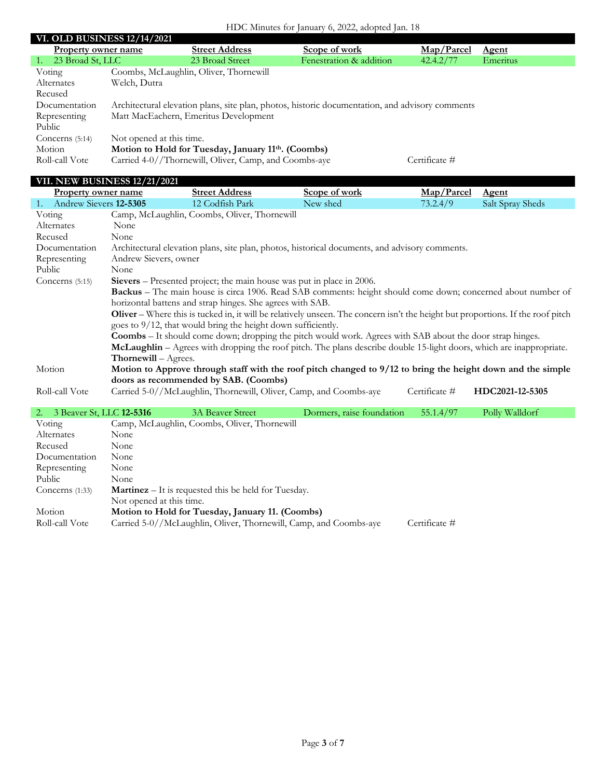# HDC Minutes for January 6, 2022, adopted Jan. 18

| <b>VI. OLD BUSINESS 12/14/2021</b> |                          |                                                                 |                                                                                                 |               |              |
|------------------------------------|--------------------------|-----------------------------------------------------------------|-------------------------------------------------------------------------------------------------|---------------|--------------|
| Property owner name                |                          | <b>Street Address</b>                                           | Scope of work                                                                                   | Map/Parcel    | <b>Agent</b> |
| 23 Broad St, LLC                   |                          | 23 Broad Street                                                 | Fenestration & addition                                                                         | 42.4.2/77     | Emeritus     |
| Voting                             |                          | Coombs, McLaughlin, Oliver, Thornewill                          |                                                                                                 |               |              |
| Alternates                         | Welch, Dutra             |                                                                 |                                                                                                 |               |              |
| Recused                            |                          |                                                                 |                                                                                                 |               |              |
| Documentation                      |                          |                                                                 | Architectural elevation plans, site plan, photos, historic documentation, and advisory comments |               |              |
| Representing                       |                          | Matt MacEachern, Emeritus Development                           |                                                                                                 |               |              |
| Public                             |                          |                                                                 |                                                                                                 |               |              |
| Concerns $(5:14)$                  | Not opened at this time. |                                                                 |                                                                                                 |               |              |
| Motion                             |                          | Motion to Hold for Tuesday, January 11 <sup>th</sup> . (Coombs) |                                                                                                 |               |              |
| Roll-call Vote                     |                          | Carried 4-0//Thornewill, Oliver, Camp, and Coombs-aye           |                                                                                                 | Certificate # |              |

### **VII. NEW BUSINESS 12/21/2021**

| <b>Property owner name</b>               |                             | <b>Street Address</b>                                                 | Scope of work                                                                                                                          | Map/Parcel    | <b>Agent</b>     |
|------------------------------------------|-----------------------------|-----------------------------------------------------------------------|----------------------------------------------------------------------------------------------------------------------------------------|---------------|------------------|
| Andrew Sievers 12-5305<br>1 <sup>1</sup> |                             | 12 Codfish Park                                                       | New shed                                                                                                                               | 73.2.4/9      | Salt Spray Sheds |
| Voting                                   |                             | Camp, McLaughlin, Coombs, Oliver, Thornewill                          |                                                                                                                                        |               |                  |
| Alternates                               | None                        |                                                                       |                                                                                                                                        |               |                  |
| Recused                                  | None                        |                                                                       |                                                                                                                                        |               |                  |
| Documentation                            |                             |                                                                       | Architectural elevation plans, site plan, photos, historical documents, and advisory comments.                                         |               |                  |
| Representing                             | Andrew Sievers, owner       |                                                                       |                                                                                                                                        |               |                  |
| Public                                   | None                        |                                                                       |                                                                                                                                        |               |                  |
| Concerns $(5:15)$                        |                             | Sievers – Presented project; the main house was put in place in 2006. |                                                                                                                                        |               |                  |
|                                          |                             |                                                                       | Backus - The main house is circa 1906. Read SAB comments: height should come down; concerned about number of                           |               |                  |
|                                          |                             | horizontal battens and strap hinges. She agrees with SAB.             |                                                                                                                                        |               |                  |
|                                          |                             |                                                                       | <b>Oliver</b> – Where this is tucked in, it will be relatively unseen. The concern isn't the height but proportions. If the roof pitch |               |                  |
|                                          |                             | goes to 9/12, that would bring the height down sufficiently.          |                                                                                                                                        |               |                  |
|                                          |                             |                                                                       | <b>Coombs</b> – It should come down; dropping the pitch would work. Agrees with SAB about the door strap hinges.                       |               |                  |
|                                          |                             |                                                                       | McLaughlin – Agrees with dropping the roof pitch. The plans describe double 15-light doors, which are inappropriate.                   |               |                  |
|                                          | <b>Thornewill</b> – Agrees. |                                                                       |                                                                                                                                        |               |                  |
| Motion                                   |                             |                                                                       | Motion to Approve through staff with the roof pitch changed to 9/12 to bring the height down and the simple                            |               |                  |
|                                          |                             | doors as recommended by SAB. (Coombs)                                 |                                                                                                                                        |               |                  |
| Roll-call Vote                           |                             | Carried 5-0//McLaughlin, Thornewill, Oliver, Camp, and Coombs-aye     |                                                                                                                                        | Certificate # | HDC2021-12-5305  |
|                                          |                             |                                                                       |                                                                                                                                        |               |                  |
| 3 Beaver St, LLC <b>12-5316</b><br>2.    |                             | <b>3A Beaver Street</b>                                               | Dormers, raise foundation                                                                                                              | 55.1.4/97     | Polly Walldorf   |
| Voting                                   |                             | Camp, McLaughlin, Coombs, Oliver, Thornewill                          |                                                                                                                                        |               |                  |
| Alternates                               | None                        |                                                                       |                                                                                                                                        |               |                  |

| Alternates        | None                                                              |               |  |
|-------------------|-------------------------------------------------------------------|---------------|--|
| Recused           | None                                                              |               |  |
| Documentation     | None                                                              |               |  |
| Representing      | None                                                              |               |  |
| Public            | None                                                              |               |  |
| Concerns $(1:33)$ | <b>Martinez</b> – It is requested this be held for Tuesday.       |               |  |
|                   | Not opened at this time.                                          |               |  |
| Motion            | Motion to Hold for Tuesday, January 11. (Coombs)                  |               |  |
| Roll-call Vote    | Carried 5-0//McLaughlin, Oliver, Thornewill, Camp, and Coombs-aye | Certificate # |  |
|                   |                                                                   |               |  |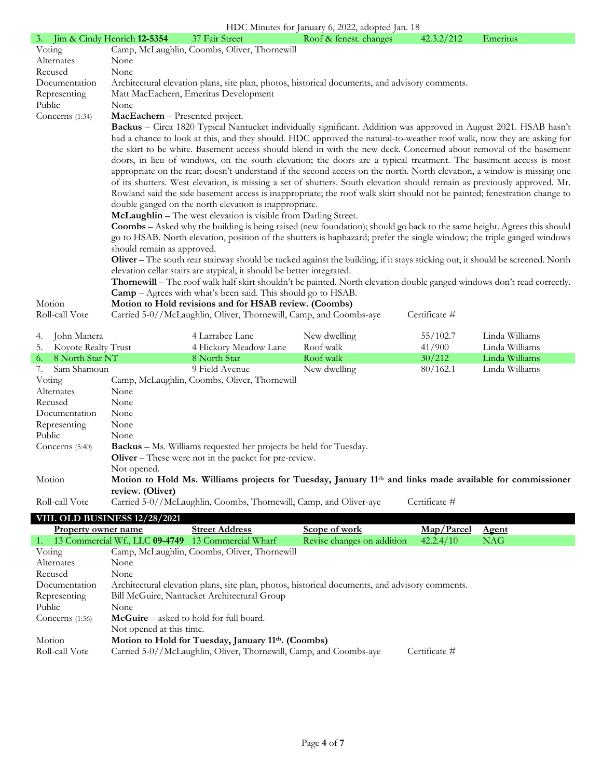| 3. Jim & Cindy Henrich 12-5354 |                                 | 37 Fair Street                                                        | Roof & fenest. changes                                                                                                         | 42.3.2/212    | Emeritus |
|--------------------------------|---------------------------------|-----------------------------------------------------------------------|--------------------------------------------------------------------------------------------------------------------------------|---------------|----------|
| Voting                         |                                 | Camp, McLaughlin, Coombs, Oliver, Thornewill                          |                                                                                                                                |               |          |
| Alternates                     | None                            |                                                                       |                                                                                                                                |               |          |
| Recused                        | None                            |                                                                       |                                                                                                                                |               |          |
| Documentation                  |                                 |                                                                       | Architectural elevation plans, site plan, photos, historical documents, and advisory comments.                                 |               |          |
| Representing                   |                                 | Matt MacEachern, Emeritus Development                                 |                                                                                                                                |               |          |
| Public                         | None                            |                                                                       |                                                                                                                                |               |          |
| Concerns (1:34)                | MacEachern - Presented project. |                                                                       |                                                                                                                                |               |          |
|                                |                                 |                                                                       | Backus - Circa 1820 Typical Nantucket individually significant. Addition was approved in August 2021. HSAB hasn't              |               |          |
|                                |                                 |                                                                       | had a chance to look at this, and they should. HDC approved the natural-to-weather roof walk, now they are asking for          |               |          |
|                                |                                 |                                                                       | the skirt to be white. Basement access should blend in with the new deck. Concerned about removal of the basement              |               |          |
|                                |                                 |                                                                       | doors, in lieu of windows, on the south elevation; the doors are a typical treatment. The basement access is most              |               |          |
|                                |                                 |                                                                       | appropriate on the rear; doesn't understand if the second access on the north. North elevation, a window is missing one        |               |          |
|                                |                                 |                                                                       | of its shutters. West elevation, is missing a set of shutters. South elevation should remain as previously approved. Mr.       |               |          |
|                                |                                 |                                                                       | Rowland said the side basement access is inappropriate; the roof walk skirt should not be painted; fenestration change to      |               |          |
|                                |                                 | double ganged on the north elevation is inappropriate.                |                                                                                                                                |               |          |
|                                |                                 | McLaughlin - The west elevation is visible from Darling Street.       |                                                                                                                                |               |          |
|                                |                                 |                                                                       | <b>Coombs</b> – Asked why the building is being raised (new foundation); should go back to the same height. Agrees this should |               |          |
|                                |                                 |                                                                       | go to HSAB. North elevation, position of the shutters is haphazard; prefer the single window; the triple ganged windows        |               |          |
|                                | should remain as approved.      |                                                                       |                                                                                                                                |               |          |
|                                |                                 |                                                                       | Oliver - The south rear stairway should be tucked against the building; if it stays sticking out, it should be screened. North |               |          |
|                                |                                 | elevation cellar stairs are atypical; it should be better integrated. |                                                                                                                                |               |          |
|                                |                                 |                                                                       | Thornewill – The roof walk half skirt shouldn't be painted. North elevation double ganged windows don't read correctly.        |               |          |
|                                |                                 | <b>Camp</b> – Agrees with what's been said. This should go to HSAB.   |                                                                                                                                |               |          |
| Motion                         |                                 | Motion to Hold revisions and for HSAB review. (Coombs)                |                                                                                                                                |               |          |
| Roll-call Vote                 |                                 |                                                                       | Carried 5-0//McLaughlin, Oliver, Thornewill, Camp, and Coombs-aye                                                              | Certificate # |          |

| 4.     | John Manera         |                  | 4 Larrabee Lane                                                          | New dwelling                                                                                                         | 55/102.7      | Linda Williams |
|--------|---------------------|------------------|--------------------------------------------------------------------------|----------------------------------------------------------------------------------------------------------------------|---------------|----------------|
| 5.     | Koyote Realty Trust |                  | 4 Hickory Meadow Lane                                                    | Roof walk                                                                                                            | 41/900        | Linda Williams |
| 6.     | 8 North Star NT     |                  | 8 North Star                                                             | Roof walk                                                                                                            | 30/212        | Linda Williams |
|        | Sam Shamoun         |                  | 9 Field Avenue                                                           | New dwelling                                                                                                         | 80/162.1      | Linda Williams |
|        | Voting              |                  | Camp, McLaughlin, Coombs, Oliver, Thornewill                             |                                                                                                                      |               |                |
|        | Alternates          | None             |                                                                          |                                                                                                                      |               |                |
|        | Recused             | None             |                                                                          |                                                                                                                      |               |                |
|        | Documentation       | None             |                                                                          |                                                                                                                      |               |                |
|        | Representing        | None             |                                                                          |                                                                                                                      |               |                |
| Public |                     | None             |                                                                          |                                                                                                                      |               |                |
|        | Concerns $(5:40)$   |                  | <b>Backus</b> – Ms. Williams requested her projects be held for Tuesday. |                                                                                                                      |               |                |
|        |                     |                  | <b>Oliver</b> – These were not in the packet for pre-review.             |                                                                                                                      |               |                |
|        |                     | Not opened.      |                                                                          |                                                                                                                      |               |                |
|        | Motion              |                  |                                                                          | Motion to Hold Ms. Williams projects for Tuesday, January 11 <sup>th</sup> and links made available for commissioner |               |                |
|        |                     | review. (Oliver) |                                                                          |                                                                                                                      |               |                |
|        | Roll-call Vote      |                  | Carried 5-0//McLaughlin, Coombs, Thornewill, Camp, and Oliver-ave        |                                                                                                                      | Certificate # |                |

|                     | <b>VIII. OLD BUSINESS 12/28/2021</b>    |                                                                   |                                                                                                |               |              |
|---------------------|-----------------------------------------|-------------------------------------------------------------------|------------------------------------------------------------------------------------------------|---------------|--------------|
| Property owner name |                                         | <b>Street Address</b>                                             | Scope of work                                                                                  | Map/Parcel    | <b>Agent</b> |
| 1.                  |                                         | 13 Commercial Wf., LLC 09-4749 13 Commercial Wharf                | Revise changes on addition                                                                     | 42.2.4/10     | <b>NAG</b>   |
| Voting              |                                         | Camp, McLaughlin, Coombs, Oliver, Thornewill                      |                                                                                                |               |              |
| Alternates          | None                                    |                                                                   |                                                                                                |               |              |
| Recused             | None                                    |                                                                   |                                                                                                |               |              |
| Documentation       |                                         |                                                                   | Architectural elevation plans, site plan, photos, historical documents, and advisory comments. |               |              |
| Representing        |                                         | Bill McGuire, Nantucket Architectural Group                       |                                                                                                |               |              |
| Public              | None                                    |                                                                   |                                                                                                |               |              |
| Concerns $(1:56)$   | McGuire - asked to hold for full board. |                                                                   |                                                                                                |               |              |
|                     | Not opened at this time.                |                                                                   |                                                                                                |               |              |
| Motion              |                                         | Motion to Hold for Tuesday, January 11 <sup>th</sup> . (Coombs)   |                                                                                                |               |              |
| Roll-call Vote      |                                         | Carried 5-0//McLaughlin, Oliver, Thornewill, Camp, and Coombs-aye |                                                                                                | Certificate # |              |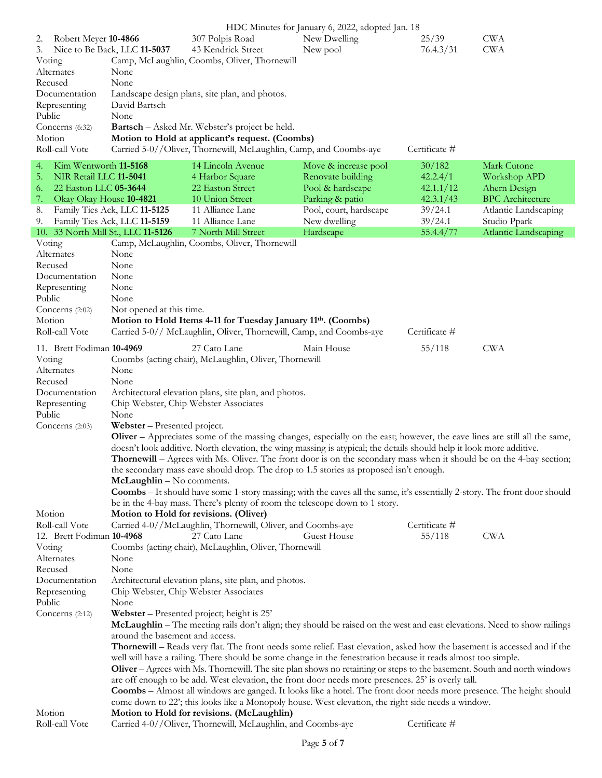|                               |                                    |                                                                                                                                  | HDC Minutes for January 6, 2022, adopted Jan. 18 |               |                             |
|-------------------------------|------------------------------------|----------------------------------------------------------------------------------------------------------------------------------|--------------------------------------------------|---------------|-----------------------------|
| Robert Meyer 10-4866<br>2.    |                                    | 307 Polpis Road                                                                                                                  | New Dwelling                                     | 25/39         | <b>CWA</b>                  |
| 3.                            | Nice to Be Back, LLC 11-5037       | 43 Kendrick Street                                                                                                               | New pool                                         | 76.4.3/31     | <b>CWA</b>                  |
| Voting                        |                                    | Camp, McLaughlin, Coombs, Oliver, Thornewill                                                                                     |                                                  |               |                             |
| Alternates                    | None                               |                                                                                                                                  |                                                  |               |                             |
|                               |                                    |                                                                                                                                  |                                                  |               |                             |
| Recused                       | None                               |                                                                                                                                  |                                                  |               |                             |
| Documentation                 |                                    | Landscape design plans, site plan, and photos.                                                                                   |                                                  |               |                             |
| Representing                  | David Bartsch                      |                                                                                                                                  |                                                  |               |                             |
| Public                        | None                               |                                                                                                                                  |                                                  |               |                             |
| Concerns (6:32)               |                                    | <b>Bartsch</b> – Asked Mr. Webster's project be held.                                                                            |                                                  |               |                             |
| Motion                        |                                    | Motion to Hold at applicant's request. (Coombs)                                                                                  |                                                  |               |                             |
|                               |                                    |                                                                                                                                  |                                                  |               |                             |
| Roll-call Vote                |                                    | Carried 5-0//Oliver, Thornewill, McLaughlin, Camp, and Coombs-aye                                                                |                                                  | Certificate # |                             |
| Kim Wentworth 11-5168<br>4.   |                                    | 14 Lincoln Avenue                                                                                                                | Move & increase pool                             | 30/182        | Mark Cutone                 |
| 5.<br>NIR Retail LLC 11-5041  |                                    | 4 Harbor Square                                                                                                                  | Renovate building                                | 42.2.4/1      | Workshop APD                |
|                               |                                    |                                                                                                                                  |                                                  |               |                             |
| 22 Easton LLC 05-3644<br>6.   |                                    | 22 Easton Street                                                                                                                 | Pool & hardscape                                 | 42.1.1/12     | Ahern Design                |
| Okay Okay House 10-4821<br>7. |                                    | 10 Union Street                                                                                                                  | Parking & patio                                  | 42.3.1/43     | <b>BPC</b> Architecture     |
| 8.                            | Family Ties Ack, LLC 11-5125       | 11 Alliance Lane                                                                                                                 | Pool, court, hardscape                           | 39/24.1       | Atlantic Landscaping        |
| 9.                            | Family Ties Ack, LLC 11-5159       | 11 Alliance Lane                                                                                                                 | New dwelling                                     | 39/24.1       | Studio Ppark                |
|                               | 10. 33 North Mill St., LLC 11-5126 | 7 North Mill Street                                                                                                              | Hardscape                                        | 55.4.4/77     | <b>Atlantic Landscaping</b> |
| Voting                        |                                    | Camp, McLaughlin, Coombs, Oliver, Thornewill                                                                                     |                                                  |               |                             |
| Alternates                    | None                               |                                                                                                                                  |                                                  |               |                             |
|                               |                                    |                                                                                                                                  |                                                  |               |                             |
| Recused                       | None                               |                                                                                                                                  |                                                  |               |                             |
| Documentation                 | None                               |                                                                                                                                  |                                                  |               |                             |
| Representing                  | None                               |                                                                                                                                  |                                                  |               |                             |
| Public                        | None                               |                                                                                                                                  |                                                  |               |                             |
| Concerns (2:02)               | Not opened at this time.           |                                                                                                                                  |                                                  |               |                             |
| Motion                        |                                    | Motion to Hold Items 4-11 for Tuesday January 11th. (Coombs)                                                                     |                                                  |               |                             |
|                               |                                    |                                                                                                                                  |                                                  |               |                             |
| Roll-call Vote                |                                    | Carried 5-0// McLaughlin, Oliver, Thornewill, Camp, and Coombs-aye                                                               |                                                  | Certificate # |                             |
| 11. Brett Fodiman 10-4969     |                                    | 27 Cato Lane                                                                                                                     | Main House                                       | 55/118        | <b>CWA</b>                  |
|                               |                                    |                                                                                                                                  |                                                  |               |                             |
| Voting                        |                                    | Coombs (acting chair), McLaughlin, Oliver, Thornewill                                                                            |                                                  |               |                             |
| Alternates                    | None                               |                                                                                                                                  |                                                  |               |                             |
| Recused                       | None                               |                                                                                                                                  |                                                  |               |                             |
| Documentation                 |                                    | Architectural elevation plans, site plan, and photos.                                                                            |                                                  |               |                             |
| Representing                  |                                    | Chip Webster, Chip Webster Associates                                                                                            |                                                  |               |                             |
| Public                        | None                               |                                                                                                                                  |                                                  |               |                             |
|                               |                                    |                                                                                                                                  |                                                  |               |                             |
| Concerns $(2:03)$             | Webster - Presented project.       |                                                                                                                                  |                                                  |               |                             |
|                               |                                    | <b>Oliver</b> – Appreciates some of the massing changes, especially on the east; however, the eave lines are still all the same, |                                                  |               |                             |
|                               |                                    | doesn't look additive. North elevation, the wing massing is atypical; the details should help it look more additive.             |                                                  |               |                             |
|                               |                                    | <b>Thornewill</b> – Agrees with Ms. Oliver. The front door is on the secondary mass when it should be on the 4-bay section;      |                                                  |               |                             |
|                               |                                    | the secondary mass eave should drop. The drop to 1.5 stories as proposed isn't enough.                                           |                                                  |               |                             |
|                               | McLaughlin - No comments.          |                                                                                                                                  |                                                  |               |                             |
|                               |                                    |                                                                                                                                  |                                                  |               |                             |
|                               |                                    | Coombs - It should have some 1-story massing; with the eaves all the same, it's essentially 2-story. The front door should       |                                                  |               |                             |
|                               |                                    | be in the 4-bay mass. There's plenty of room the telescope down to 1 story.                                                      |                                                  |               |                             |
| Motion                        |                                    | Motion to Hold for revisions. (Oliver)                                                                                           |                                                  |               |                             |
| Roll-call Vote                |                                    |                                                                                                                                  |                                                  |               |                             |
| 12. Brett Fodiman 10-4968     |                                    |                                                                                                                                  |                                                  | Certificate # |                             |
|                               |                                    | Carried 4-0//McLaughlin, Thornewill, Oliver, and Coombs-aye                                                                      |                                                  |               |                             |
|                               |                                    | 27 Cato Lane                                                                                                                     | Guest House                                      | 55/118        | <b>CWA</b>                  |
| Voting                        |                                    | Coombs (acting chair), McLaughlin, Oliver, Thornewill                                                                            |                                                  |               |                             |
| Alternates                    | None                               |                                                                                                                                  |                                                  |               |                             |
| Recused                       | None                               |                                                                                                                                  |                                                  |               |                             |
| Documentation                 |                                    | Architectural elevation plans, site plan, and photos.                                                                            |                                                  |               |                             |
|                               |                                    |                                                                                                                                  |                                                  |               |                             |
| Representing                  |                                    | Chip Webster, Chip Webster Associates                                                                                            |                                                  |               |                             |
| Public                        | None                               |                                                                                                                                  |                                                  |               |                             |
| Concerns (2:12)               |                                    | Webster - Presented project; height is 25'                                                                                       |                                                  |               |                             |
|                               |                                    | McLaughlin - The meeting rails don't align; they should be raised on the west and east elevations. Need to show railings         |                                                  |               |                             |
|                               | around the basement and access.    |                                                                                                                                  |                                                  |               |                             |
|                               |                                    | <b>Thornewill</b> – Reads very flat. The front needs some relief. East elevation, asked how the basement is accessed and if the  |                                                  |               |                             |
|                               |                                    |                                                                                                                                  |                                                  |               |                             |
|                               |                                    | well will have a railing. There should be some change in the fenestration because it reads almost too simple.                    |                                                  |               |                             |
|                               |                                    | Oliver - Agrees with Ms. Thornewill. The site plan shows no retaining or steps to the basement. South and north windows          |                                                  |               |                             |
|                               |                                    | are off enough to be add. West elevation, the front door needs more presences. 25' is overly tall.                               |                                                  |               |                             |
|                               |                                    | <b>Coombs</b> – Almost all windows are ganged. It looks like a hotel. The front door needs more presence. The height should      |                                                  |               |                             |
|                               |                                    | come down to 22'; this looks like a Monopoly house. West elevation, the right side needs a window.                               |                                                  |               |                             |
| Motion                        |                                    | Motion to Hold for revisions. (McLaughlin)                                                                                       |                                                  |               |                             |
| Roll-call Vote                |                                    | Carried 4-0//Oliver, Thornewill, McLaughlin, and Coombs-aye                                                                      |                                                  | Certificate # |                             |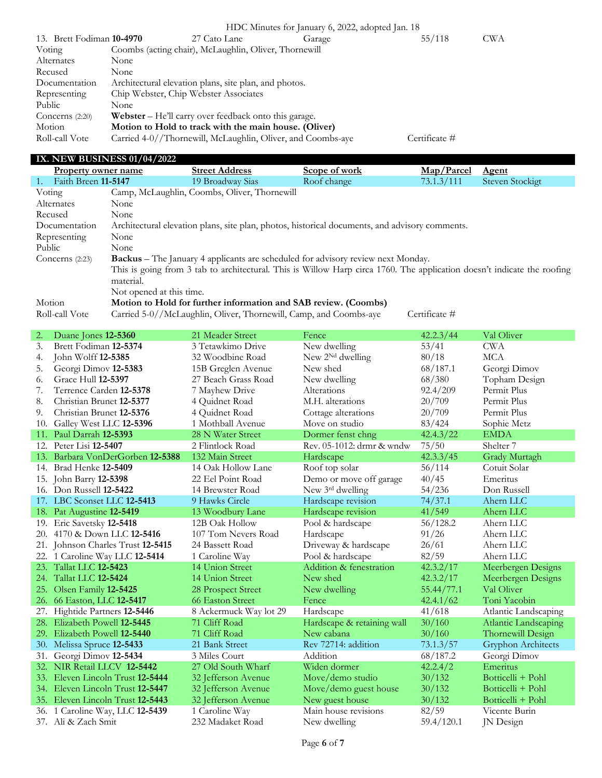|                           |      |                                                              | HDC Minutes for January 6, 2022, adopted Jan. 18 |               |            |
|---------------------------|------|--------------------------------------------------------------|--------------------------------------------------|---------------|------------|
| 13. Brett Fodiman 10-4970 |      | 27 Cato Lane                                                 | Garage                                           | 55/118        | <b>CWA</b> |
| Voting                    |      | Coombs (acting chair), McLaughlin, Oliver, Thornewill        |                                                  |               |            |
| Alternates                | None |                                                              |                                                  |               |            |
| Recused                   | None |                                                              |                                                  |               |            |
| Documentation             |      | Architectural elevation plans, site plan, and photos.        |                                                  |               |            |
| Representing              |      | Chip Webster, Chip Webster Associates                        |                                                  |               |            |
| Public                    | None |                                                              |                                                  |               |            |
| Concerns $(2:20)$         |      | <b>Webster</b> – He'll carry over feedback onto this garage. |                                                  |               |            |
| Motion                    |      | Motion to Hold to track with the main house. (Oliver)        |                                                  |               |            |
| Roll-call Vote            |      | Carried 4-0//Thornewill, McLaughlin, Oliver, and Coombs-aye  |                                                  | Certificate # |            |

#### **IX. NEW BUSINESS 01/04/2022**

| Property owner name       |                                                                                                                         | <b>Street Address</b>                        | Scope of work                                                     | Map/Parcel    | <b>Agent</b>    |
|---------------------------|-------------------------------------------------------------------------------------------------------------------------|----------------------------------------------|-------------------------------------------------------------------|---------------|-----------------|
| Faith Breen 11-5147<br>1. |                                                                                                                         | 19 Broadway Sias                             | Roof change                                                       | 73.1.3/111    | Steven Stockigt |
| Voting                    |                                                                                                                         | Camp, McLaughlin, Coombs, Oliver, Thornewill |                                                                   |               |                 |
| Alternates                | None                                                                                                                    |                                              |                                                                   |               |                 |
| Recused                   | None                                                                                                                    |                                              |                                                                   |               |                 |
| Documentation             | Architectural elevation plans, site plan, photos, historical documents, and advisory comments.                          |                                              |                                                                   |               |                 |
| Representing              | None                                                                                                                    |                                              |                                                                   |               |                 |
| Public                    | None                                                                                                                    |                                              |                                                                   |               |                 |
| Concerns $(2:23)$         | <b>Backus</b> – The January 4 applicants are scheduled for advisory review next Monday.                                 |                                              |                                                                   |               |                 |
|                           | This is going from 3 tab to architectural. This is Willow Harp circa 1760. The application doesn't indicate the roofing |                                              |                                                                   |               |                 |
|                           | material.                                                                                                               |                                              |                                                                   |               |                 |
|                           | Not opened at this time.                                                                                                |                                              |                                                                   |               |                 |
| Motion                    |                                                                                                                         |                                              | Motion to Hold for further information and SAB review. (Coombs)   |               |                 |
| Roll-call Vote            |                                                                                                                         |                                              | Carried 5-0//McLaughlin, Oliver, Thornewill, Camp, and Coombs-aye | Certificate # |                 |

| 2.  | Duane Jones 12-5360               | 21 Meader Street       | Fence                        | 42.2.3/44  | Val Oliver                  |
|-----|-----------------------------------|------------------------|------------------------------|------------|-----------------------------|
| 3.  | Brett Fodiman 12-5374             | 3 Tetawkimo Drive      | New dwelling                 | 53/41      | <b>CWA</b>                  |
| 4.  | John Wolff 12-5385                | 32 Woodbine Road       | New 2 <sup>Nd</sup> dwelling | 80/18      | <b>MCA</b>                  |
| 5.  | Georgi Dimov 12-5383              | 15B Greglen Avenue     | New shed                     | 68/187.1   | Georgi Dimov                |
| 6.  | Grace Hull 12-5397                | 27 Beach Grass Road    | New dwelling                 | 68/380     | Topham Design               |
| 7.  | Terrence Carden 12-5378           | 7 Mayhew Drive         | Alterations                  | 92.4/209   | Permit Plus                 |
| 8.  | Christian Brunet 12-5377          | 4 Quidnet Road         | M.H. alterations             | 20/709     | Permit Plus                 |
| 9.  | Christian Brunet 12-5376          | 4 Quidnet Road         | Cottage alterations          | 20/709     | Permit Plus                 |
| 10. | Galley West LLC 12-5396           | 1 Mothball Avenue      | Move on studio               | 83/424     | Sophie Metz                 |
| 11. | Paul Darrah 12-5393               | 28 N Water Street      | Dormer fenst chng            | 42.4.3/22  | <b>EMDA</b>                 |
|     | 12. Peter Lisi <b>12-5407</b>     | 2 Flintlock Road       | Rev. 05-1012: drmr & wndw    | 75/50      | Shelter <sub>7</sub>        |
|     | 13. Barbara VonDerGorben 12-5388  | 132 Main Street        | Hardscape                    | 42.3.3/45  | Grady Murtagh               |
|     | 14. Brad Henke 12-5409            | 14 Oak Hollow Lane     | Roof top solar               | 56/114     | Cotuit Solar                |
|     | 15. John Barry <b>12-5398</b>     | 22 Eel Point Road      | Demo or move off garage      | 40/45      | Emeritus                    |
| 16. | Don Russell 12-5422               | 14 Brewster Road       | New 3rd dwelling             | 54/236     | Don Russell                 |
|     | 17. LBC Sconset LLC 12-5413       | 9 Hawks Circle         | Hardscape revision           | 74/37.1    | Ahern LLC                   |
|     | 18. Pat Augustine 12-5419         | 13 Woodbury Lane       | Hardscape revision           | 41/549     | Ahern LLC                   |
|     | 19. Eric Savetsky 12-5418         | 12B Oak Hollow         | Pool & hardscape             | 56/128.2   | Ahern LLC                   |
| 20. | 4170 & Down LLC 12-5416           | 107 Tom Nevers Road    | Hardscape                    | 91/26      | Ahern LLC                   |
|     | 21. Johnson Charles Trust 12-5415 | 24 Bassett Road        | Driveway & hardscape         | 26/61      | Ahern LLC                   |
|     | 22. 1 Caroline Way LLC 12-5414    | 1 Caroline Way         | Pool & hardscape             | 82/59      | Ahern LLC                   |
|     | 23. Tallat LLC 12-5423            | 14 Union Street        | Addition & fenestration      | 42.3.2/17  | Meerbergen Designs          |
|     | 24. Tallat LLC 12-5424            | 14 Union Street        | New shed                     | 42.3.2/17  | Meerbergen Designs          |
|     | 25. Olsen Family 12-5425          | 28 Prospect Street     | New dwelling                 | 55.44/77.1 | Val Oliver                  |
|     | 26. 66 Easton, LLC 12-5417        | 66 Easton Street       | Fence                        | 42.4.1/62  | Toni Yacobin                |
|     | 27. Hightide Partners 12-5446     | 8 Ackermuck Way lot 29 | Hardscape                    | 41/618     | Atlantic Landscaping        |
|     | 28. Elizabeth Powell 12-5445      | 71 Cliff Road          | Hardscape & retaining wall   | 30/160     | <b>Atlantic Landscaping</b> |
|     | 29. Elizabeth Powell 12-5440      | 71 Cliff Road          | New cabana                   | 30/160     | Thornewill Design           |
|     | 30. Melissa Spruce 12-5433        | 21 Bank Street         | Rev 72714: addition          | 73.1.3/57  | <b>Gryphon Architects</b>   |
| 31. | Georgi Dimov 12-5434              | 3 Miles Court          | Addition                     | 68/187.2   | Georgi Dimov                |
|     | 32. NIR Retail LLCV 12-5442       | 27 Old South Wharf     | Widen dormer                 | 42.2.4/2   | Emeritus                    |
|     | 33. Eleven Lincoln Trust 12-5444  | 32 Jefferson Avenue    | Move/demo studio             | 30/132     | Botticelli + Pohl           |
|     | 34. Eleven Lincoln Trust 12-5447  | 32 Jefferson Avenue    | Move/demo guest house        | 30/132     | Botticelli + Pohl           |
|     | 35. Eleven Lincoln Trust 12-5443  | 32 Jefferson Avenue    | New guest house              | 30/132     | Botticelli + Pohl           |
|     | 36. 1 Caroline Way, LLC 12-5439   | 1 Caroline Way         | Main house revisions         | 82/59      | Vicente Burin               |
|     | 37. Ali & Zach Smit               | 232 Madaket Road       | New dwelling                 | 59.4/120.1 | <b>JN</b> Design            |